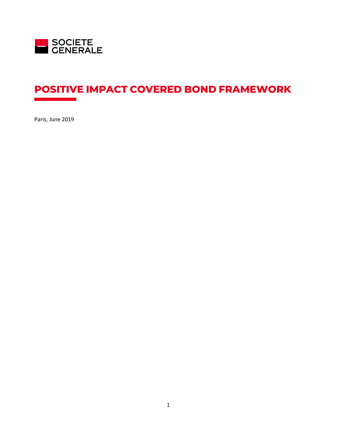

# **POSITIVE IMPACT COVERED BOND FRAMEWORK**

Paris, June 2019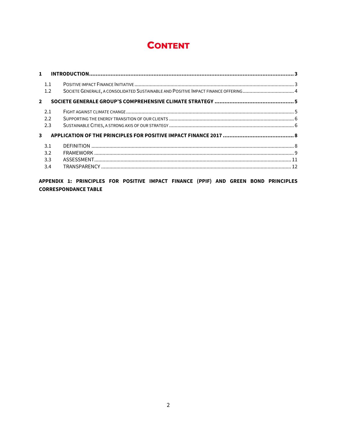# **CONTENT**

| $\mathbf{1}$            |     |                                                                                    |  |
|-------------------------|-----|------------------------------------------------------------------------------------|--|
|                         | 11  |                                                                                    |  |
|                         | 1.2 | SOCIETE GENERALE, A CONSOLIDATED SUSTAINABLE AND POSITIVE IMPACT FINANCE OFFERING4 |  |
| $\overline{2}$          |     |                                                                                    |  |
|                         | 2.1 |                                                                                    |  |
|                         | 2.2 |                                                                                    |  |
|                         | 2.3 |                                                                                    |  |
| $\overline{\mathbf{3}}$ |     |                                                                                    |  |
|                         | 3.1 |                                                                                    |  |
|                         | 3.2 |                                                                                    |  |
|                         | 3.3 |                                                                                    |  |
|                         | 3.4 |                                                                                    |  |

APPENDIX 1: PRINCIPLES FOR POSITIVE IMPACT FINANCE (PPIF) AND GREEN BOND PRINCIPLES **CORRESPONDANCE TABLE**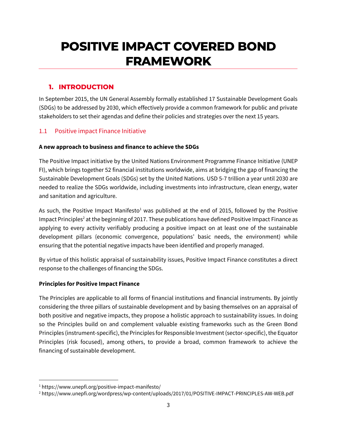# **POSITIVE IMPACT COVERED BOND FRAMEWORK**

# <span id="page-2-0"></span>**1. INTRODUCTION**

In September 2015, the UN General Assembly formally established 17 Sustainable Development Goals (SDGs) to be addressed by 2030, which effectively provide a common framework for public and private stakeholders to set their agendas and define their policies and strategies over the next 15 years.

# <span id="page-2-1"></span>1.1 Positive impact Finance Initiative

# **A new approach to business and finance to achieve the SDGs**

The Positive Impact initiative by the United Nations Environment Programme Finance Initiative (UNEP FI), which brings together 52 financial institutions worldwide, aims at bridging the gap of financing the Sustainable Development Goals (SDGs) set by the United Nations. USD 5-7 trillion a year until 2030 are needed to realize the SDGs worldwide, including investments into infrastructure, clean energy, water and sanitation and agriculture.

As such, the Positive Impact Manifesto<sup>1</sup> was published at the end of 2015, followed by the Positive Impact Principles<sup>2</sup> at the beginning of 2017. These publications have defined Positive Impact Finance as applying to every activity verifiably producing a positive impact on at least one of the sustainable development pillars (economic convergence, populations' basic needs, the environment) while ensuring that the potential negative impacts have been identified and properly managed.

By virtue of this holistic appraisal of sustainability issues, Positive Impact Finance constitutes a direct response to the challenges of financing the SDGs.

#### **Principles for Positive Impact Finance**

The Principles are applicable to all forms of financial institutions and financial instruments. By jointly considering the three pillars of sustainable development and by basing themselves on an appraisal of both positive and negative impacts, they propose a holistic approach to sustainability issues. In doing so the Principles build on and complement valuable existing frameworks such as the Green Bond Principles (instrument-specific), the Principles for Responsible Investment (sector-specific), the Equator Principles (risk focused), among others, to provide a broad, common framework to achieve the financing of sustainable development.

 $\overline{a}$ 

<sup>1</sup> https://www.unepfi.org/positive-impact-manifesto/

<sup>2</sup> https://www.unepfi.org/wordpress/wp-content/uploads/2017/01/POSITIVE-IMPACT-PRINCIPLES-AW-WEB.pdf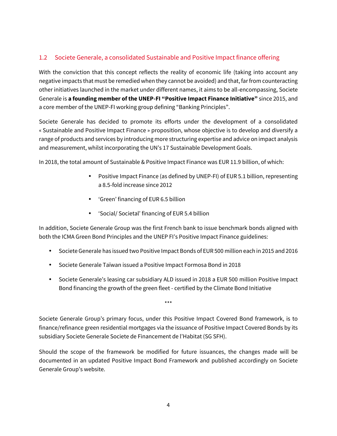# <span id="page-3-0"></span>1.2 Societe Generale, a consolidated Sustainable and Positive Impact finance offering

With the conviction that this concept reflects the reality of economic life (taking into account any negative impacts that must be remedied when they cannot be avoided) and that, far from counteracting other initiatives launched in the market under different names, it aims to be all-encompassing, Societe Generale is **a founding member of the UNEP-FI "Positive Impact Finance Initiative"** since 2015, and a core member of the UNEP-FI working group defining "Banking Principles".

Societe Generale has decided to promote its efforts under the development of a consolidated « Sustainable and Positive Impact Finance » proposition, whose objective is to develop and diversify a range of products and services by introducing more structuring expertise and advice on impact analysis and measurement, whilst incorporating the UN's 17 Sustainable Development Goals.

In 2018, the total amount of Sustainable & Positive Impact Finance was EUR 11.9 billion, of which:

- Positive Impact Finance (as defined by UNEP-FI) of EUR 5.1 billion, representing a 8.5-fold increase since 2012
- 'Green' financing of EUR 6.5 billion
- 'Social/ Societal' financing of EUR 5.4 billion

In addition, Societe Generale Group was the first French bank to issue benchmark bonds aligned with both the ICMA Green Bond Principles and the UNEP FI's Positive Impact Finance guidelines:

- Societe Generale has issued two Positive Impact Bonds of EUR 500 million each in 2015 and 2016
- Societe Generale Taïwan issued a Positive Impact Formosa Bond in 2018
- Societe Generale's leasing car subsidiary ALD issued in 2018 a EUR 500 million Positive Impact Bond financing the growth of the green fleet - certified by the Climate Bond Initiative

Societe Generale Group's primary focus, under this Positive Impact Covered Bond framework, is to finance/refinance green residential mortgages via the issuance of Positive Impact Covered Bonds by its subsidiary Societe Generale Societe de Financement de l'Habitat (SG SFH).

\*\*\*

Should the scope of the framework be modified for future issuances, the changes made will be documented in an updated Positive Impact Bond Framework and published accordingly on Societe Generale Group's website.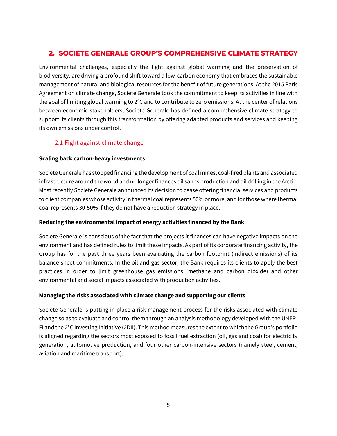# <span id="page-4-0"></span>**2. SOCIETE GENERALE GROUP'S COMPREHENSIVE CLIMATE STRATEGY**

Environmental challenges, especially the fight against global warming and the preservation of biodiversity, are driving a profound shift toward a low-carbon economy that embraces the sustainable management of natural and biological resources for the benefit of future generations. At the 2015 Paris Agreement on climate change, Societe Generale took the commitment to keep its activities in line with the goal of limiting global warming to 2°C and to contribute to zero emissions. At the center of relations between economic stakeholders, Societe Generale has defined a comprehensive climate strategy to support its clients through this transformation by offering adapted products and services and keeping its own emissions under control.

# 2.1 Fight against climate change

#### <span id="page-4-1"></span>**Scaling back carbon-heavy investments**

Societe Generale has stopped financing the development of coal mines, coal-fired plants and associated infrastructure around the world and no longer finances oil sands production and oil drilling in the Arctic. Most recently Societe Generale announced its decision to cease offering financial services and products to client companies whose activity in thermal coal represents 50% or more, and for those where thermal coal represents 30-50% if they do not have a reduction strategy in place.

#### **Reducing the environmental impact of energy activities financed by the Bank**

Societe Generale is conscious of the fact that the projects it finances can have negative impacts on the environment and has defined rules to limit these impacts. As part of its corporate financing activity, the Group has for the past three years been evaluating the carbon footprint (indirect emissions) of its balance sheet commitments. In the oil and gas sector, the Bank requires its clients to apply the best practices in order to limit greenhouse gas emissions (methane and carbon dioxide) and other environmental and social impacts associated with production activities.

#### **Managing the risks associated with climate change and supporting our clients**

Societe Generale is putting in place a risk management process for the risks associated with climate change so as to evaluate and control them through an analysis methodology developed with the UNEP-FI and the 2°C Investing Initiative (2DII). This method measures the extent to which the Group's portfolio is aligned regarding the sectors most exposed to fossil fuel extraction (oil, gas and coal) for electricity generation, automotive production, and four other carbon-intensive sectors (namely steel, cement, aviation and maritime transport).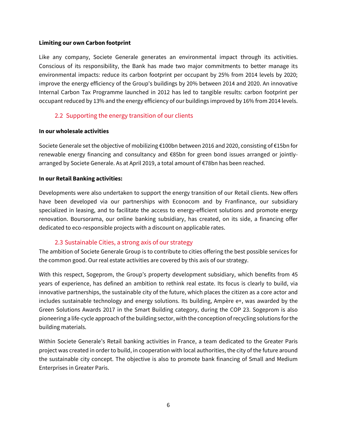#### **Limiting our own Carbon footprint**

Like any company, Societe Generale generates an environmental impact through its activities. Conscious of its responsibility, the Bank has made two major commitments to better manage its environmental impacts: reduce its carbon footprint per occupant by 25% from 2014 levels by 2020; improve the energy efficiency of the Group's buildings by 20% between 2014 and 2020. An innovative Internal Carbon Tax Programme launched in 2012 has led to tangible results: carbon footprint per occupant reduced by 13% and the energy efficiency of our buildings improved by 16% from 2014 levels.

# 2.2 Supporting the energy transition of our clients

#### <span id="page-5-0"></span>**In our wholesale activities**

Societe Generale set the objective of mobilizing €100bn between 2016 and 2020, consisting of €15bn for renewable energy financing and consultancy and €85bn for green bond issues arranged or jointlyarranged by Societe Generale. As at April 2019, a total amount of €78bn has been reached.

#### **In our Retail Banking activities:**

Developments were also undertaken to support the energy transition of our Retail clients. New offers have been developed via our partnerships with Econocom and by Franfinance, our subsidiary specialized in leasing, and to facilitate the access to energy-efficient solutions and promote energy renovation. Boursorama, our online banking subsidiary, has created, on its side, a financing offer dedicated to eco-responsible projects with a discount on applicable rates.

#### 2.3 Sustainable Cities, a strong axis of our strategy

<span id="page-5-1"></span>The ambition of Societe Generale Group is to contribute to cities offering the best possible services for the common good. Our real estate activities are covered by this axis of our strategy.

With this respect, Sogeprom, the Group's property development subsidiary, which benefits from 45 years of experience, has defined an ambition to rethink real estate. Its focus is clearly to build, via innovative partnerships, the sustainable city of the future, which places the citizen as a core actor and includes sustainable technology and energy solutions. Its building, Ampère e+, was awarded by the Green Solutions Awards 2017 in the Smart Building category, during the COP 23. Sogeprom is also pioneering a life-cycle approach of the building sector, with the conception of recycling solutions for the building materials.

Within Societe Generale's Retail banking activities in France, a team dedicated to the Greater Paris project was created in order to build, in cooperation with local authorities, the city of the future around the sustainable city concept. The objective is also to promote bank financing of Small and Medium Enterprises in Greater Paris.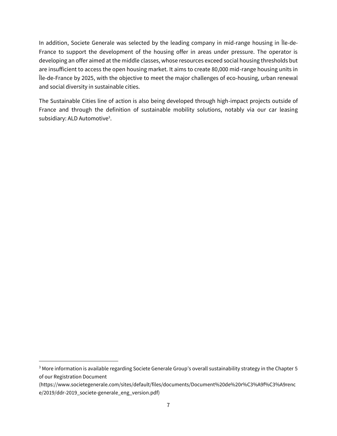In addition, Societe Generale was selected by the leading company in mid-range housing in Île-de-France to support the development of the housing offer in areas under pressure. The operator is developing an offer aimed at the middle classes, whose resources exceed social housing thresholds but are insufficient to access the open housing market. It aims to create 80,000 mid-range housing units in Île-de-France by 2025, with the objective to meet the major challenges of eco-housing, urban renewal and social diversity in sustainable cities.

The Sustainable Cities line of action is also being developed through high-impact projects outside of France and through the definition of sustainable mobility solutions, notably via our car leasing subsidiary: ALD Automotive<sup>3</sup>.

 $\overline{a}$ 

 $3$  More information is available regarding Societe Generale Group's overall sustainability strategy in the Chapter 5 of our Registration Document

[<sup>\(</sup>https://www.societegenerale.com/sites/default/files/documents/Document%20de%20r%C3%A9f%C3%A9renc](https://www.societegenerale.com/sites/default/files/documents/Document%20de%20r%C3%A9f%C3%A9rence/2019/ddr-2019_societe-generale_eng_version.pdf) [e/2019/ddr-2019\\_societe-generale\\_eng\\_version.pdf\)](https://www.societegenerale.com/sites/default/files/documents/Document%20de%20r%C3%A9f%C3%A9rence/2019/ddr-2019_societe-generale_eng_version.pdf)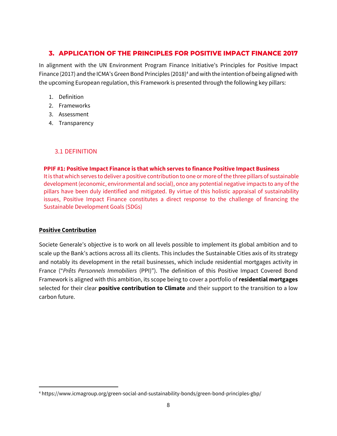### <span id="page-7-0"></span>**3. APPLICATION OF THE PRINCIPLES FOR POSITIVE IMPACT FINANCE 2017**

In alignment with the UN Environment Program Finance Initiative's Principles for Positive Impact Finance (2017) and the ICMA's Green Bond Principles (2018)<sup>4</sup> and with the intention of being aligned with the upcoming European regulation, this Framework is presented through the following key pillars:

- 1. Definition
- 2. Frameworks
- 3. Assessment
- 4. Transparency

#### <span id="page-7-1"></span>3.1 DEFINITION

#### **PPIF #1: Positive Impact Finance is that which serves to finance Positive Impact Business**

It is that which serves to deliver a positive contribution to one or more of the three pillars of sustainable development (economic, environmental and social), once any potential negative impacts to any of the pillars have been duly identified and mitigated. By virtue of this holistic appraisal of sustainability issues, Positive Impact Finance constitutes a direct response to the challenge of financing the Sustainable Development Goals (SDGs)

#### **Positive Contribution**

 $\overline{\phantom{a}}$ 

Societe Generale's objective is to work on all levels possible to implement its global ambition and to scale up the Bank's actions across all its clients. This includes the Sustainable Cities axis of its strategy and notably its development in the retail businesses, which include residential mortgages activity in France ("*Prêts Personnels Immobiliers* (PPI)"). The definition of this Positive Impact Covered Bond Framework is aligned with this ambition, its scope being to cover a portfolio of **residential mortgages** selected for their clear **positive contribution to Climate** and their support to the transition to a low carbon future.

<sup>4</sup> https://www.icmagroup.org/green-social-and-sustainability-bonds/green-bond-principles-gbp/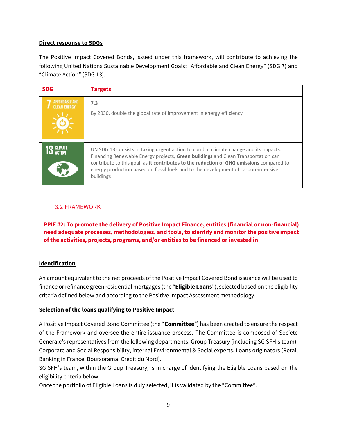#### **Direct response to SDGs**

The Positive Impact Covered Bonds, issued under this framework, will contribute to achieving the following United Nations Sustainable Development Goals: "Affordable and Clean Energy" (SDG 7) and "Climate Action" (SDG 13).

| <b>SDG</b>                            | <b>Targets</b>                                                                                                                                                                                                                                                                                                                                                           |
|---------------------------------------|--------------------------------------------------------------------------------------------------------------------------------------------------------------------------------------------------------------------------------------------------------------------------------------------------------------------------------------------------------------------------|
| FFORDABLE AND:<br><b>CLEAN ENERGY</b> | 7.3<br>By 2030, double the global rate of improvement in energy efficiency                                                                                                                                                                                                                                                                                               |
|                                       | UN SDG 13 consists in taking urgent action to combat climate change and its impacts.<br>Financing Renewable Energy projects, Green buildings and Clean Transportation can<br>contribute to this goal, as it contributes to the reduction of GHG emissions compared to<br>energy production based on fossil fuels and to the development of carbon-intensive<br>buildings |

#### <span id="page-8-0"></span>3.2 FRAMEWORK

**PPIF #2: To promote the delivery of Positive Impact Finance, entities (financial or non-financial) need adequate processes, methodologies, and tools, to identify and monitor the positive impact of the activities, projects, programs, and/or entities to be financed or invested in**

#### **Identification**

An amount equivalent to the net proceeds of the Positive Impact Covered Bond issuance will be used to finance or refinance green residential mortgages (the "**Eligible Loans**"), selected based on the eligibility criteria defined below and according to the Positive Impact Assessment methodology.

#### **Selection of the loans qualifying to Positive Impact**

A Positive Impact Covered Bond Committee (the "**Committee**") has been created to ensure the respect of the Framework and oversee the entire issuance process. The Committee is composed of Societe Generale's representatives from the following departments: Group Treasury (including SG SFH's team), Corporate and Social Responsibility, internal Environmental & Social experts, Loans originators (Retail Banking in France, Boursorama, Credit du Nord).

SG SFH's team, within the Group Treasury, is in charge of identifying the Eligible Loans based on the eligibility criteria below.

Once the portfolio of Eligible Loans is duly selected, it is validated by the "Committee".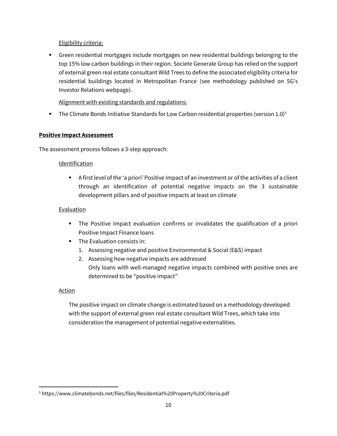Eligibility criteria:

▪ Green residential mortgages include mortgages on new residential buildings belonging to the top 15% low carbon buildings in their region. Societe Generale Group has relied on the support of external green real estate consultant Wild Trees to define the associated eligibility criteria for residential buildings located in Metropolitan France (see methodology published on SG's Investor Relations webpage).

# Alignment with existing standards and regulations:

**•** The Climate Bonds Initiative Standards for Low Carbon residential properties (version 1.0)<sup>5</sup>

#### **Positive Impact Assessment**

The assessment process follows a 3-step approach:

#### **Identification**

■ A first level of the 'a priori' Positive Impact of an investment or of the activities of a client through an identification of potential negative impacts on the 3 sustainable development pillars and of positive impacts at least on climate

# Evaluation

- **•** The Positive Impact evaluation confirms or invalidates the qualification of a priori Positive Impact Finance loans
- The Evaluation consists in:
	- 1. Assessing negative and positive Environmental & Social (E&S) impact
	- 2. Assessing how negative impacts are addressed Only loans with well-managed negative impacts combined with positive ones are determined to be "positive impact"

#### **Action**

 $\overline{\phantom{a}}$ 

The positive impact on climate change is estimated based on a methodology developed with the support of external green real estate consultant Wild Trees, which take into consideration the management of potential negative externalities.

<sup>5</sup> https://www.climatebonds.net/files/files/Residential%20Property%20Criteria.pdf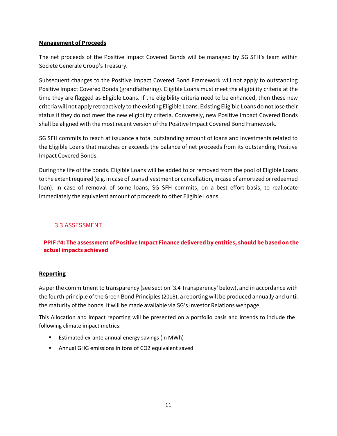#### **Management of Proceeds**

The net proceeds of the Positive Impact Covered Bonds will be managed by SG SFH's team within Societe Generale Group's Treasury.

Subsequent changes to the Positive Impact Covered Bond Framework will not apply to outstanding Positive Impact Covered Bonds (grandfathering). Eligible Loans must meet the eligibility criteria at the time they are flagged as Eligible Loans. If the eligibility criteria need to be enhanced, then these new criteria will not apply retroactively to the existing Eligible Loans. Existing Eligible Loans do not lose their status if they do not meet the new eligibility criteria. Conversely, new Positive Impact Covered Bonds shall be aligned with the most recent version of the Positive Impact Covered Bond Framework.

SG SFH commits to reach at issuance a total outstanding amount of loans and investments related to the Eligible Loans that matches or exceeds the balance of net proceeds from its outstanding Positive Impact Covered Bonds.

During the life of the bonds, Eligible Loans will be added to or removed from the pool of Eligible Loans to the extent required (e.g. in case of loans divestment or cancellation, in case of amortized or redeemed loan). In case of removal of some loans, SG SFH commits, on a best effort basis, to reallocate immediately the equivalent amount of proceeds to other Eligible Loans.

#### <span id="page-10-0"></span>3.3 ASSESSMENT

#### **PPIF #4: The assessment of Positive Impact Finance delivered by entities, should be based on the actual impacts achieved**

#### **Reporting**

As per the commitment to transparency (see section '3.4 Transparency' below), and in accordance with the fourth principle of the Green Bond Principles (2018), a reporting will be produced annually and until the maturity of the bonds. It will be made available via SG's Investor Relations webpage.

This Allocation and Impact reporting will be presented on a portfolio basis and intends to include the following climate impact metrics:

- Estimated ex-ante annual energy savings (in MWh)
- Annual GHG emissions in tons of CO2 equivalent saved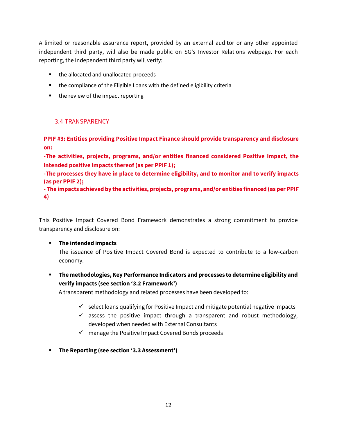A limited or reasonable assurance report, provided by an external auditor or any other appointed independent third party, will also be made public on SG's Investor Relations webpage. For each reporting, the independent third party will verify:

- the allocated and unallocated proceeds
- the compliance of the Eligible Loans with the defined eligibility criteria
- the review of the impact reporting

#### <span id="page-11-0"></span>3.4 TRANSPARENCY

**PPIF #3: Entities providing Positive Impact Finance should provide transparency and disclosure on:** 

**-The activities, projects, programs, and/or entities financed considered Positive Impact, the intended positive impacts thereof (as per PPIF 1);** 

**-The processes they have in place to determine eligibility, and to monitor and to verify impacts (as per PPIF 2);** 

**- The impacts achieved by the activities, projects, programs, and/or entities financed (as per PPIF 4)**

This Positive Impact Covered Bond Framework demonstrates a strong commitment to provide transparency and disclosure on:

#### ▪ **The intended impacts**

The issuance of Positive Impact Covered Bond is expected to contribute to a low-carbon economy.

▪ **The methodologies, Key Performance Indicators and processes to determine eligibility and verify impacts (see section '3.2 Framework')**

A transparent methodology and related processes have been developed to:

- $\checkmark$  select loans qualifying for Positive Impact and mitigate potential negative impacts
- $\checkmark$  assess the positive impact through a transparent and robust methodology, developed when needed with External Consultants
- $\checkmark$  manage the Positive Impact Covered Bonds proceeds
- **The Reporting (see section '3.3 Assessment')**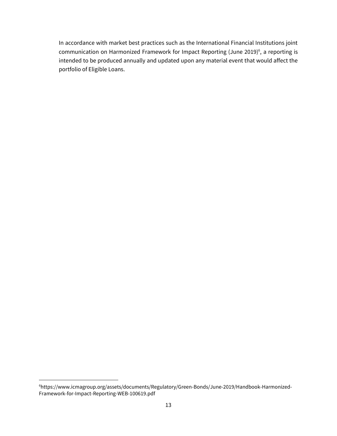In accordance with market best practices such as the International Financial Institutions joint communication on Harmonized Framework for Impact Reporting (June 2019) 6 , a reporting is intended to be produced annually and updated upon any material event that would affect the portfolio of Eligible Loans.

 $\overline{a}$ 

<sup>6</sup>https://www.icmagroup.org/assets/documents/Regulatory/Green-Bonds/June-2019/Handbook-Harmonized-Framework-for-Impact-Reporting-WEB-100619.pdf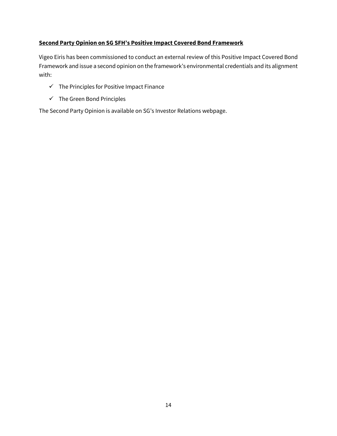#### **Second Party Opinion on SG SFH's Positive Impact Covered Bond Framework**

Vigeo Eiris has been commissioned to conduct an external review of this Positive Impact Covered Bond Framework and issue a second opinion on the framework's environmental credentials and its alignment with:

- $\checkmark$  The Principles for Positive Impact Finance
- $\checkmark$  The Green Bond Principles

The Second Party Opinion is available on SG's Investor Relations webpage.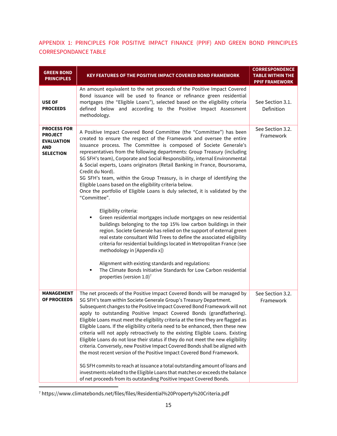# APPENDIX 1: PRINCIPLES FOR POSITIVE IMPACT FINANCE (PPIF) AND GREEN BOND PRINCIPLES CORRESPONDANCE TABLE

| <b>GREEN BOND</b><br><b>PRINCIPLES</b>                                               | <b>KEY FEATURES OF THE POSITIVE IMPACT COVERED BOND FRAMEWORK</b>                                                                                                                                                                                                                                                                                                                                                                                                                                                                                                                                                                                                                                                                                                                                                                                                                                                                                                                                                                                                                                                                                                                                                                                                                                                                 | <b>CORRESPONDENCE</b><br><b>TABLE WITHIN THE</b><br><b>PPIF FRAMEWORK</b> |
|--------------------------------------------------------------------------------------|-----------------------------------------------------------------------------------------------------------------------------------------------------------------------------------------------------------------------------------------------------------------------------------------------------------------------------------------------------------------------------------------------------------------------------------------------------------------------------------------------------------------------------------------------------------------------------------------------------------------------------------------------------------------------------------------------------------------------------------------------------------------------------------------------------------------------------------------------------------------------------------------------------------------------------------------------------------------------------------------------------------------------------------------------------------------------------------------------------------------------------------------------------------------------------------------------------------------------------------------------------------------------------------------------------------------------------------|---------------------------------------------------------------------------|
| <b>USE OF</b><br><b>PROCEEDS</b>                                                     | An amount equivalent to the net proceeds of the Positive Impact Covered<br>Bond issuance will be used to finance or refinance green residential<br>mortgages (the "Eligible Loans"), selected based on the eligibility criteria<br>defined below and according to the Positive Impact Assessment<br>methodology.                                                                                                                                                                                                                                                                                                                                                                                                                                                                                                                                                                                                                                                                                                                                                                                                                                                                                                                                                                                                                  | See Section 3.1.<br>Definition                                            |
| <b>PROCESS FOR</b><br><b>PROJECT</b><br><b>EVALUATION</b><br>AND<br><b>SELECTION</b> | A Positive Impact Covered Bond Committee (the "Committee") has been<br>created to ensure the respect of the Framework and oversee the entire<br>issuance process. The Committee is composed of Societe Generale's<br>representatives from the following departments: Group Treasury (including<br>SG SFH's team), Corporate and Social Responsibility, internal Environmental<br>& Social experts, Loans originators (Retail Banking in France, Boursorama,<br>Credit du Nord).<br>SG SFH's team, within the Group Treasury, is in charge of identifying the<br>Eligible Loans based on the eligibility criteria below.<br>Once the portfolio of Eligible Loans is duly selected, it is validated by the<br>"Committee".<br>Eligibility criteria:<br>Green residential mortgages include mortgages on new residential<br>٠<br>buildings belonging to the top 15% low carbon buildings in their<br>region. Societe Generale has relied on the support of external green<br>real estate consultant Wild Trees to define the associated eligibility<br>criteria for residential buildings located in Metropolitan France (see<br>methodology in [Appendix x])<br>Alignment with existing standards and regulations:<br>The Climate Bonds Initiative Standards for Low Carbon residential<br>properties (version $1.0$ ) <sup>7</sup> | See Section 3.2.<br>Framework                                             |
| <b>MANAGEMENT</b><br><b>OF PROCEEDS</b>                                              | The net proceeds of the Positive Impact Covered Bonds will be managed by<br>SG SFH's team within Societe Generale Group's Treasury Department.<br>Subsequent changes to the Positive Impact Covered Bond Framework will not<br>apply to outstanding Positive Impact Covered Bonds (grandfathering).<br>Eligible Loans must meet the eligibility criteria at the time they are flagged as<br>Eligible Loans. If the eligibility criteria need to be enhanced, then these new<br>criteria will not apply retroactively to the existing Eligible Loans. Existing<br>Eligible Loans do not lose their status if they do not meet the new eligibility<br>criteria. Conversely, new Positive Impact Covered Bonds shall be aligned with<br>the most recent version of the Positive Impact Covered Bond Framework.<br>SG SFH commits to reach at issuance a total outstanding amount of loans and<br>investments related to the Eligible Loans that matches or exceeds the balance<br>of net proceeds from its outstanding Positive Impact Covered Bonds.                                                                                                                                                                                                                                                                                | See Section 3.2.<br>Framework                                             |

<sup>7</sup> https://www.climatebonds.net/files/files/Residential%20Property%20Criteria.pdf

 $\overline{\phantom{a}}$